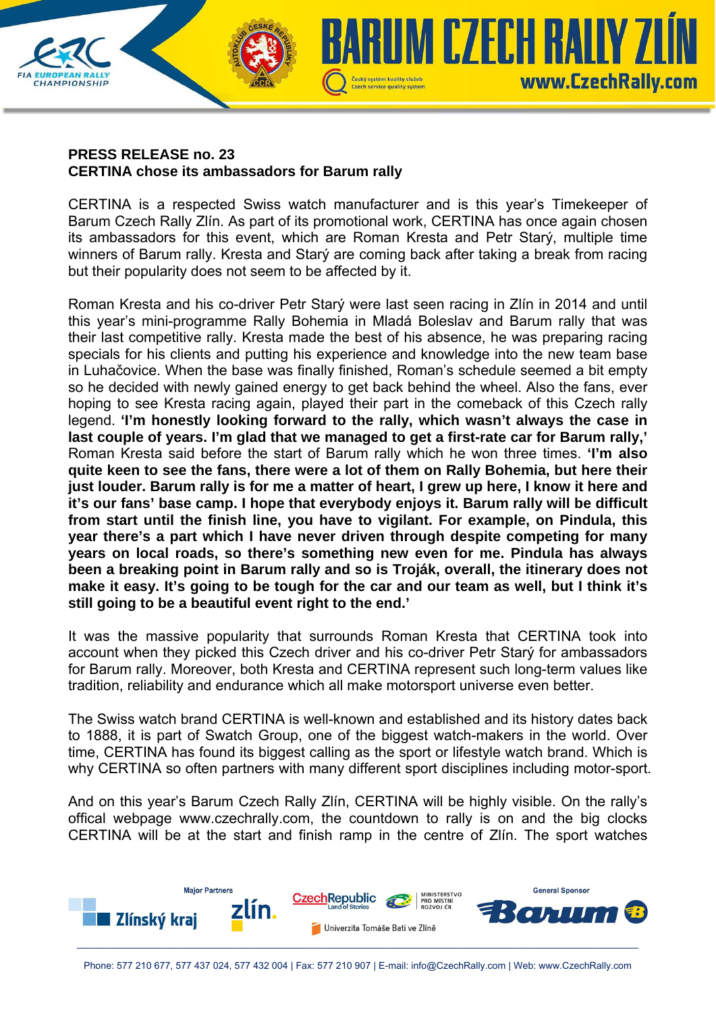

## **PRESS RELEASE no. 23 CERTINA chose its ambassadors for Barum rally**

CERTINA is a respected Swiss watch manufacturer and is this year's Timekeeper of Barum Czech Rally Zlín. As part of its promotional work, CERTINA has once again chosen its ambassadors for this event, which are Roman Kresta and Petr Starý, multiple time winners of Barum rally. Kresta and Starý are coming back after taking a break from racing but their popularity does not seem to be affected by it.

Roman Kresta and his co-driver Petr Starý were last seen racing in Zlín in 2014 and until this year's mini-programme Rally Bohemia in Mladá Boleslav and Barum rally that was their last competitive rally. Kresta made the best of his absence, he was preparing racing specials for his clients and putting his experience and knowledge into the new team base in Luhačovice. When the base was finally finished, Roman's schedule seemed a bit empty so he decided with newly gained energy to get back behind the wheel. Also the fans, ever hoping to see Kresta racing again, played their part in the comeback of this Czech rally legend. **'I'm honestly looking forward to the rally, which wasn't always the case in last couple of years. I'm glad that we managed to get a first-rate car for Barum rally,'** Roman Kresta said before the start of Barum rally which he won three times. **'I'm also quite keen to see the fans, there were a lot of them on Rally Bohemia, but here their just louder. Barum rally is for me a matter of heart, I grew up here, I know it here and it's our fans' base camp. I hope that everybody enjoys it. Barum rally will be difficult from start until the finish line, you have to vigilant. For example, on Pindula, this year there's a part which I have never driven through despite competing for many years on local roads, so there's something new even for me. Pindula has always been a breaking point in Barum rally and so is Troják, overall, the itinerary does not make it easy. It's going to be tough for the car and our team as well, but I think it's still going to be a beautiful event right to the end.'**

It was the massive popularity that surrounds Roman Kresta that CERTINA took into account when they picked this Czech driver and his co-driver Petr Starý for ambassadors for Barum rally. Moreover, both Kresta and CERTINA represent such long-term values like tradition, reliability and endurance which all make motorsport universe even better.

The Swiss watch brand CERTINA is well-known and established and its history dates back to 1888, it is part of Swatch Group, one of the biggest watch-makers in the world. Over time, CERTINA has found its biggest calling as the sport or lifestyle watch brand. Which is why CERTINA so often partners with many different sport disciplines including motor-sport.

And on this year's Barum Czech Rally Zlín, CERTINA will be highly visible. On the rally's offical webpage www.czechrally.com, the countdown to rally is on and the big clocks CERTINA will be at the start and finish ramp in the centre of Zlín. The sport watches